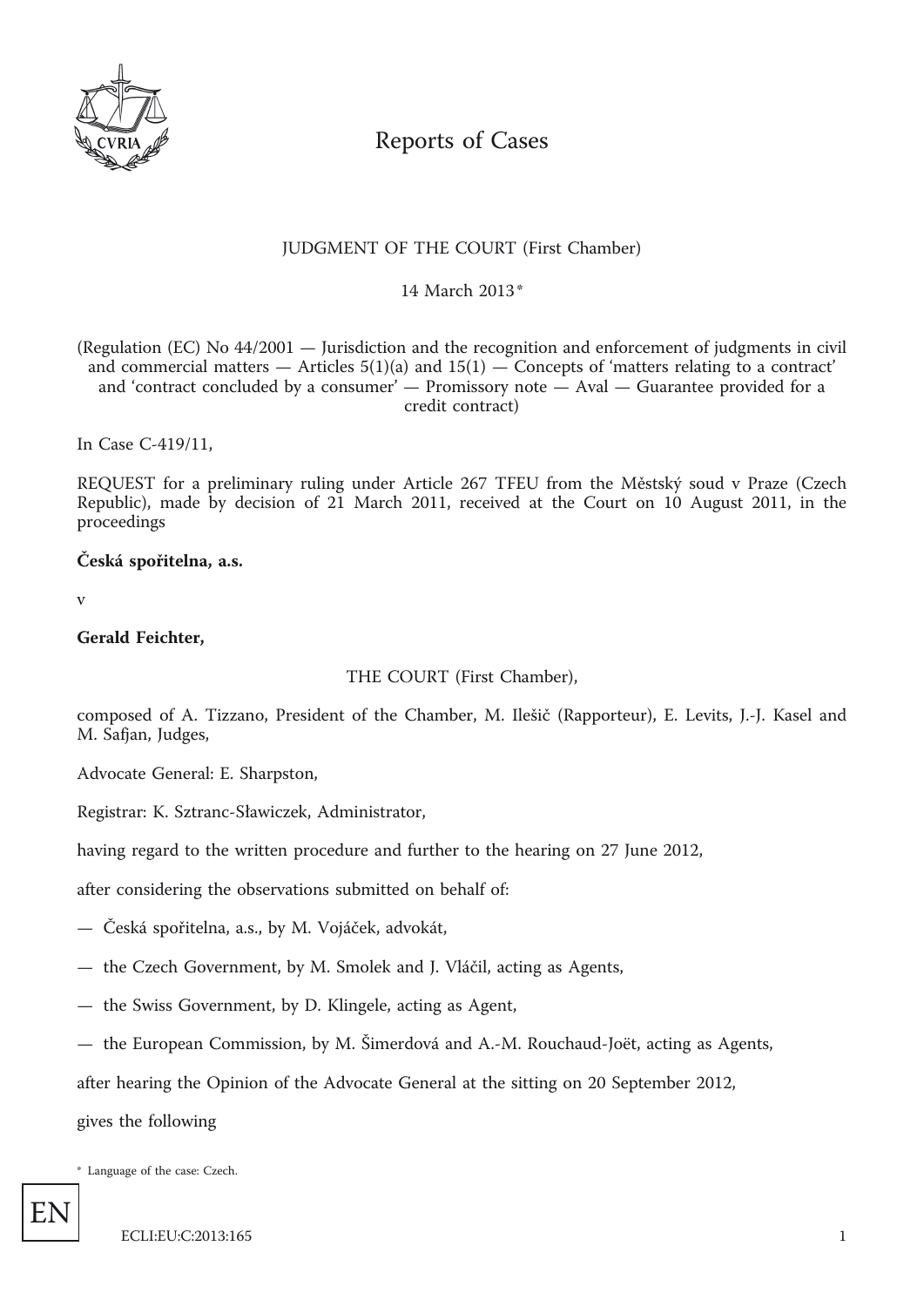

# Reports of Cases

## JUDGMENT OF THE COURT (First Chamber)

\* 14 March 2013

(Regulation (EC) No 44/2001 — Jurisdiction and the recognition and enforcement of judgments in civil and commercial matters  $-$  Articles 5(1)(a) and 15(1)  $-$  Concepts of 'matters relating to a contract' and 'contract concluded by a consumer' — Promissory note — Aval — Guarantee provided for a credit contract)

In Case C-419/11,

REQUEST for a preliminary ruling under Article 267 TFEU from the Městský soud v Praze (Czech Republic), made by decision of 21 March 2011, received at the Court on 10 August 2011, in the proceedings

**Česká spořitelna, a.s.**

v

**Gerald Feichter,**

THE COURT (First Chamber),

composed of A. Tizzano, President of the Chamber, M. Ilešič (Rapporteur), E. Levits, J.-J. Kasel and M. Safjan, Judges,

Advocate General: E. Sharpston,

Registrar: K. Sztranc-Sławiczek, Administrator,

having regard to the written procedure and further to the hearing on 27 June 2012,

after considering the observations submitted on behalf of:

— Česká spořitelna, a.s., by M. Vojáček, advokát,

— the Czech Government, by M. Smolek and J. Vláčil, acting as Agents,

— the Swiss Government, by D. Klingele, acting as Agent,

— the European Commission, by M. Šimerdová and A.-M. Rouchaud-Joët, acting as Agents,

after hearing the Opinion of the Advocate General at the sitting on 20 September 2012,

gives the following

\* Language of the case: Czech.

EN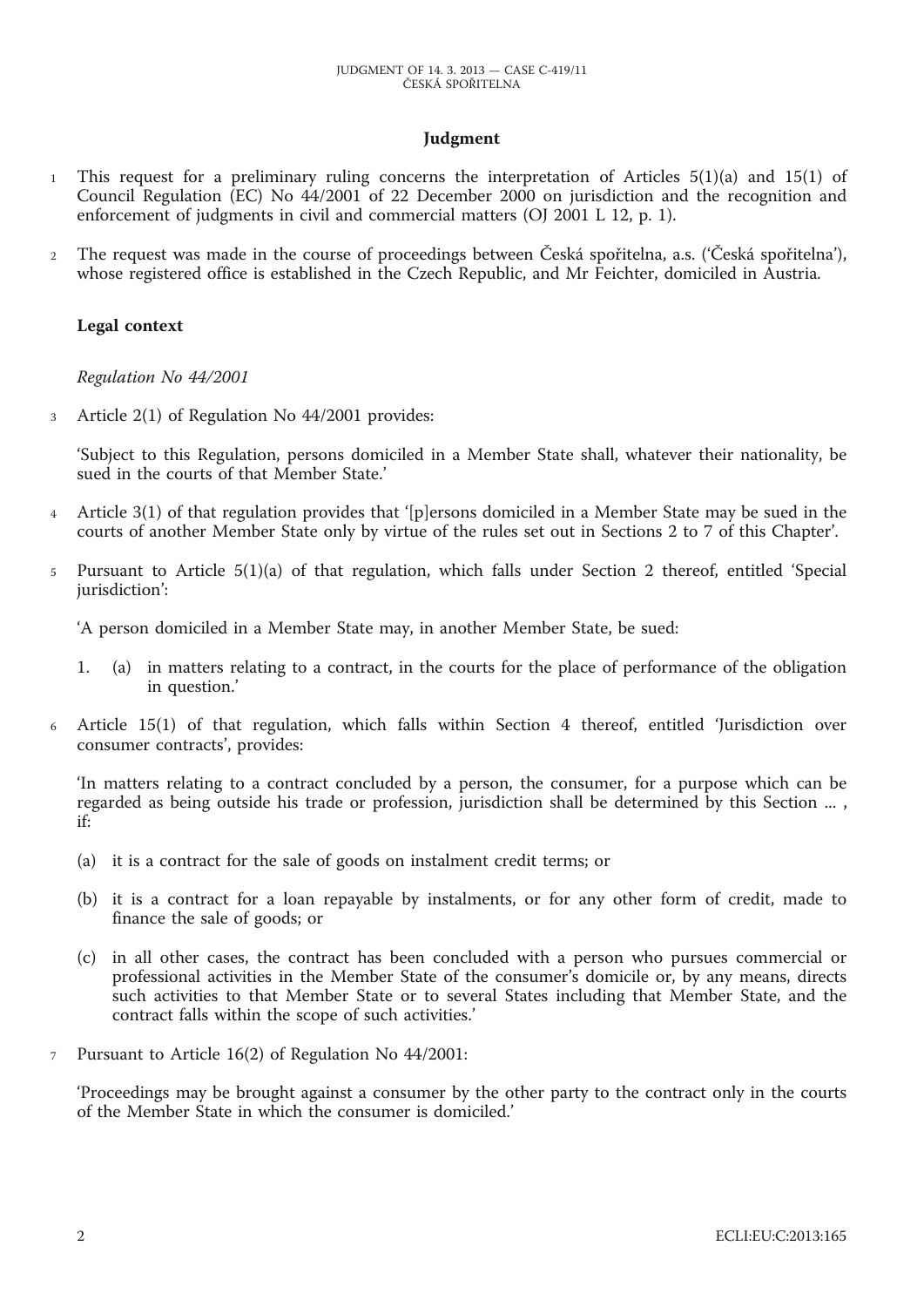## **Judgment**

- 1 This request for a preliminary ruling concerns the interpretation of Articles 5(1)(a) and 15(1) of Council Regulation (EC) No 44/2001 of 22 December 2000 on jurisdiction and the recognition and enforcement of judgments in civil and commercial matters (OJ 2001 L 12, p. 1).
- 2 The request was made in the course of proceedings between Česká spořitelna, a.s. ('Česká spořitelna'), whose registered office is established in the Czech Republic, and Mr Feichter, domiciled in Austria.

### **Legal context**

*Regulation No 44/2001*

3 Article 2(1) of Regulation No 44/2001 provides:

'Subject to this Regulation, persons domiciled in a Member State shall, whatever their nationality, be sued in the courts of that Member State.'

- Article 3(1) of that regulation provides that '[p]ersons domiciled in a Member State may be sued in the courts of another Member State only by virtue of the rules set out in Sections 2 to 7 of this Chapter'.
- 5 Pursuant to Article 5(1)(a) of that regulation, which falls under Section 2 thereof, entitled 'Special jurisdiction':

'A person domiciled in a Member State may, in another Member State, be sued:

- 1. (a) in matters relating to a contract, in the courts for the place of performance of the obligation in question.'
- 6 Article 15(1) of that regulation, which falls within Section 4 thereof, entitled 'Jurisdiction over consumer contracts', provides:

'In matters relating to a contract concluded by a person, the consumer, for a purpose which can be regarded as being outside his trade or profession, jurisdiction shall be determined by this Section ... , if:

- (a) it is a contract for the sale of goods on instalment credit terms; or
- (b) it is a contract for a loan repayable by instalments, or for any other form of credit, made to finance the sale of goods; or
- (c) in all other cases, the contract has been concluded with a person who pursues commercial or professional activities in the Member State of the consumer's domicile or, by any means, directs such activities to that Member State or to several States including that Member State, and the contract falls within the scope of such activities.'
- 7 Pursuant to Article 16(2) of Regulation No 44/2001:

'Proceedings may be brought against a consumer by the other party to the contract only in the courts of the Member State in which the consumer is domiciled.'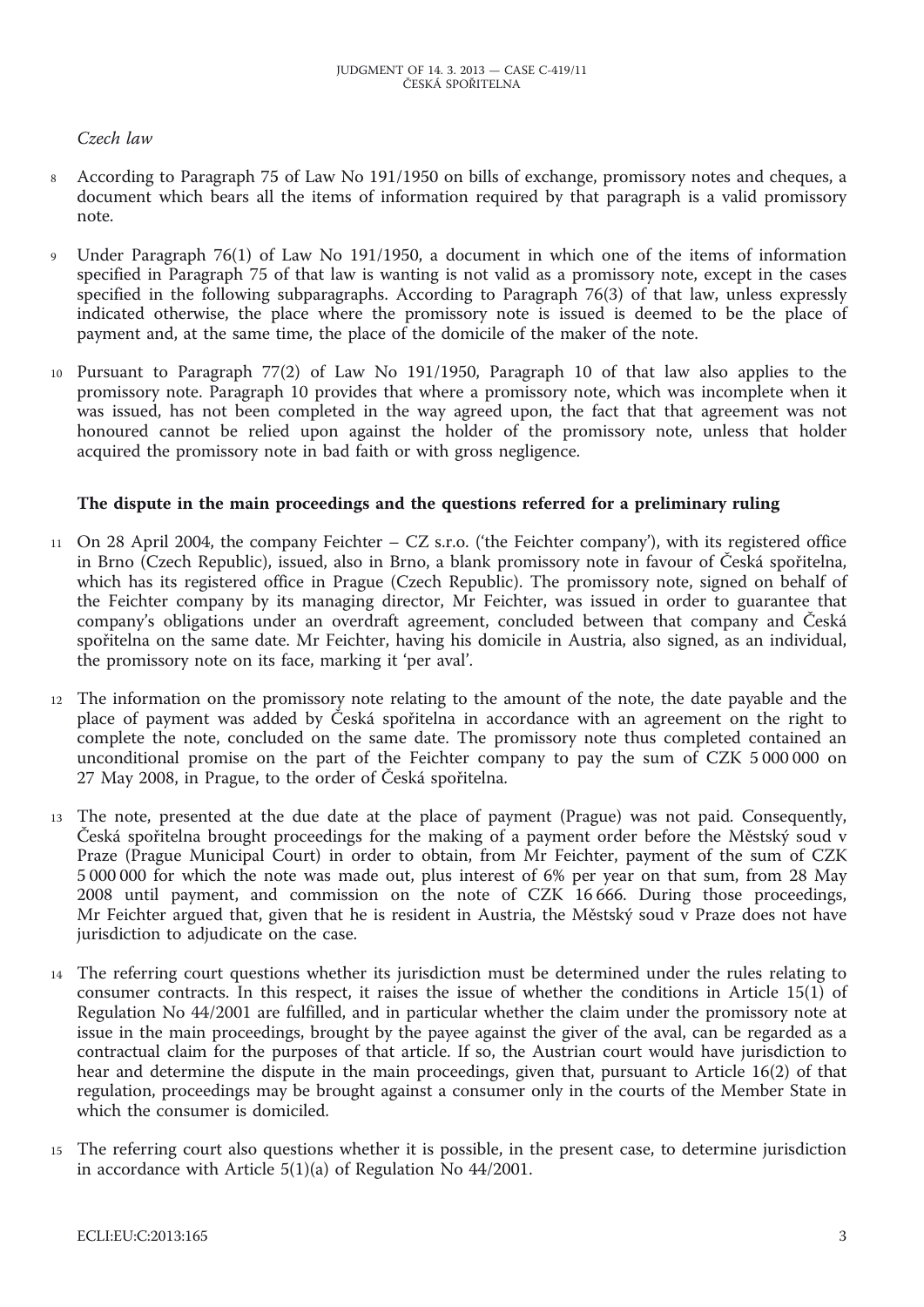## *Czech law*

- 8 According to Paragraph 75 of Law No 191/1950 on bills of exchange, promissory notes and cheques, a document which bears all the items of information required by that paragraph is a valid promissory note.
- 9 Under Paragraph 76(1) of Law No 191/1950, a document in which one of the items of information specified in Paragraph 75 of that law is wanting is not valid as a promissory note, except in the cases specified in the following subparagraphs. According to Paragraph 76(3) of that law, unless expressly indicated otherwise, the place where the promissory note is issued is deemed to be the place of payment and, at the same time, the place of the domicile of the maker of the note.
- 10 Pursuant to Paragraph 77(2) of Law No 191/1950, Paragraph 10 of that law also applies to the promissory note. Paragraph 10 provides that where a promissory note, which was incomplete when it was issued, has not been completed in the way agreed upon, the fact that that agreement was not honoured cannot be relied upon against the holder of the promissory note, unless that holder acquired the promissory note in bad faith or with gross negligence.

## **The dispute in the main proceedings and the questions referred for a preliminary ruling**

- 11 On 28 April 2004, the company Feichter CZ s.r.o. ('the Feichter company'), with its registered office in Brno (Czech Republic), issued, also in Brno, a blank promissory note in favour of Česká spořitelna, which has its registered office in Prague (Czech Republic). The promissory note, signed on behalf of the Feichter company by its managing director, Mr Feichter, was issued in order to guarantee that company's obligations under an overdraft agreement, concluded between that company and Česká spořitelna on the same date. Mr Feichter, having his domicile in Austria, also signed, as an individual, the promissory note on its face, marking it 'per aval'.
- 12 The information on the promissory note relating to the amount of the note, the date payable and the place of payment was added by Česká spořitelna in accordance with an agreement on the right to complete the note, concluded on the same date. The promissory note thus completed contained an unconditional promise on the part of the Feichter company to pay the sum of CZK 5 000 000 on 27 May 2008, in Prague, to the order of Česká spořitelna.
- 13 The note, presented at the due date at the place of payment (Prague) was not paid. Consequently, Česká spořitelna brought proceedings for the making of a payment order before the Městský soud v Praze (Prague Municipal Court) in order to obtain, from Mr Feichter, payment of the sum of CZK 5 000 000 for which the note was made out, plus interest of 6% per year on that sum, from 28 May 2008 until payment, and commission on the note of CZK 16 666. During those proceedings, Mr Feichter argued that, given that he is resident in Austria, the Městský soud v Praze does not have jurisdiction to adjudicate on the case.
- 14 The referring court questions whether its jurisdiction must be determined under the rules relating to consumer contracts. In this respect, it raises the issue of whether the conditions in Article 15(1) of Regulation No 44/2001 are fulfilled, and in particular whether the claim under the promissory note at issue in the main proceedings, brought by the payee against the giver of the aval, can be regarded as a contractual claim for the purposes of that article. If so, the Austrian court would have jurisdiction to hear and determine the dispute in the main proceedings, given that, pursuant to Article 16(2) of that regulation, proceedings may be brought against a consumer only in the courts of the Member State in which the consumer is domiciled.
- 15 The referring court also questions whether it is possible, in the present case, to determine jurisdiction in accordance with Article 5(1)(a) of Regulation No 44/2001.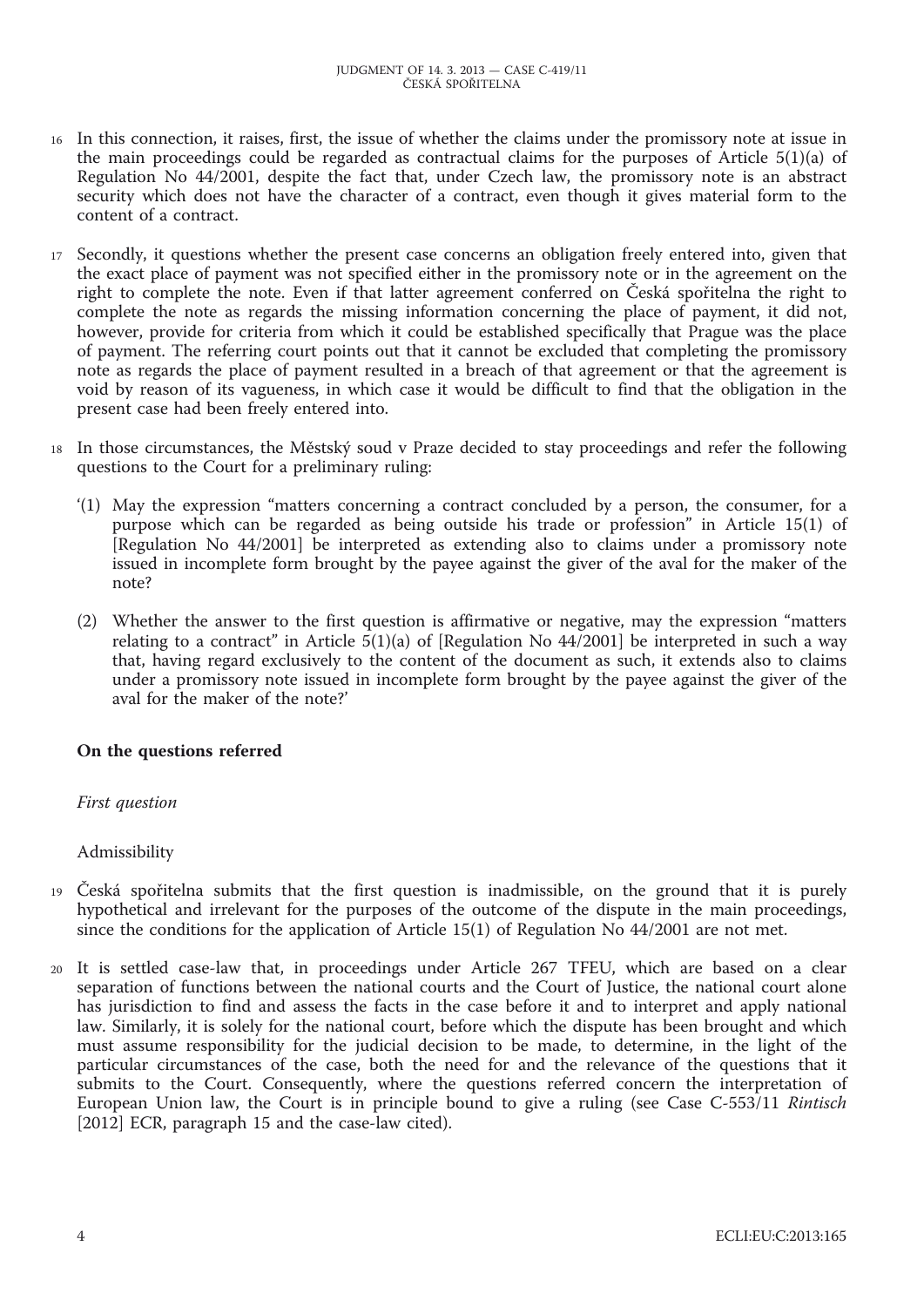- 16 In this connection, it raises, first, the issue of whether the claims under the promissory note at issue in the main proceedings could be regarded as contractual claims for the purposes of Article 5(1)(a) of Regulation No 44/2001, despite the fact that, under Czech law, the promissory note is an abstract security which does not have the character of a contract, even though it gives material form to the content of a contract.
- 17 Secondly, it questions whether the present case concerns an obligation freely entered into, given that the exact place of payment was not specified either in the promissory note or in the agreement on the right to complete the note. Even if that latter agreement conferred on Česká spořitelna the right to complete the note as regards the missing information concerning the place of payment, it did not, however, provide for criteria from which it could be established specifically that Prague was the place of payment. The referring court points out that it cannot be excluded that completing the promissory note as regards the place of payment resulted in a breach of that agreement or that the agreement is void by reason of its vagueness, in which case it would be difficult to find that the obligation in the present case had been freely entered into.
- 18 In those circumstances, the Městský soud v Praze decided to stay proceedings and refer the following questions to the Court for a preliminary ruling:
	- '(1) May the expression "matters concerning a contract concluded by a person, the consumer, for a purpose which can be regarded as being outside his trade or profession" in Article 15(1) of [Regulation No 44/2001] be interpreted as extending also to claims under a promissory note issued in incomplete form brought by the payee against the giver of the aval for the maker of the note?
	- (2) Whether the answer to the first question is affirmative or negative, may the expression "matters relating to a contract" in Article  $5(1)(a)$  of [Regulation No 44/2001] be interpreted in such a way that, having regard exclusively to the content of the document as such, it extends also to claims under a promissory note issued in incomplete form brought by the payee against the giver of the aval for the maker of the note?'

## **On the questions referred**

#### *First question*

## Admissibility

- <sup>19</sup>Česká spořitelna submits that the first question is inadmissible, on the ground that it is purely hypothetical and irrelevant for the purposes of the outcome of the dispute in the main proceedings, since the conditions for the application of Article 15(1) of Regulation No 44/2001 are not met.
- 20 It is settled case-law that, in proceedings under Article 267 TFEU, which are based on a clear separation of functions between the national courts and the Court of Justice, the national court alone has jurisdiction to find and assess the facts in the case before it and to interpret and apply national law. Similarly, it is solely for the national court, before which the dispute has been brought and which must assume responsibility for the judicial decision to be made, to determine, in the light of the particular circumstances of the case, both the need for and the relevance of the questions that it submits to the Court. Consequently, where the questions referred concern the interpretation of European Union law, the Court is in principle bound to give a ruling (see Case C-553/11 *Rintisch* [2012] ECR, paragraph 15 and the case-law cited).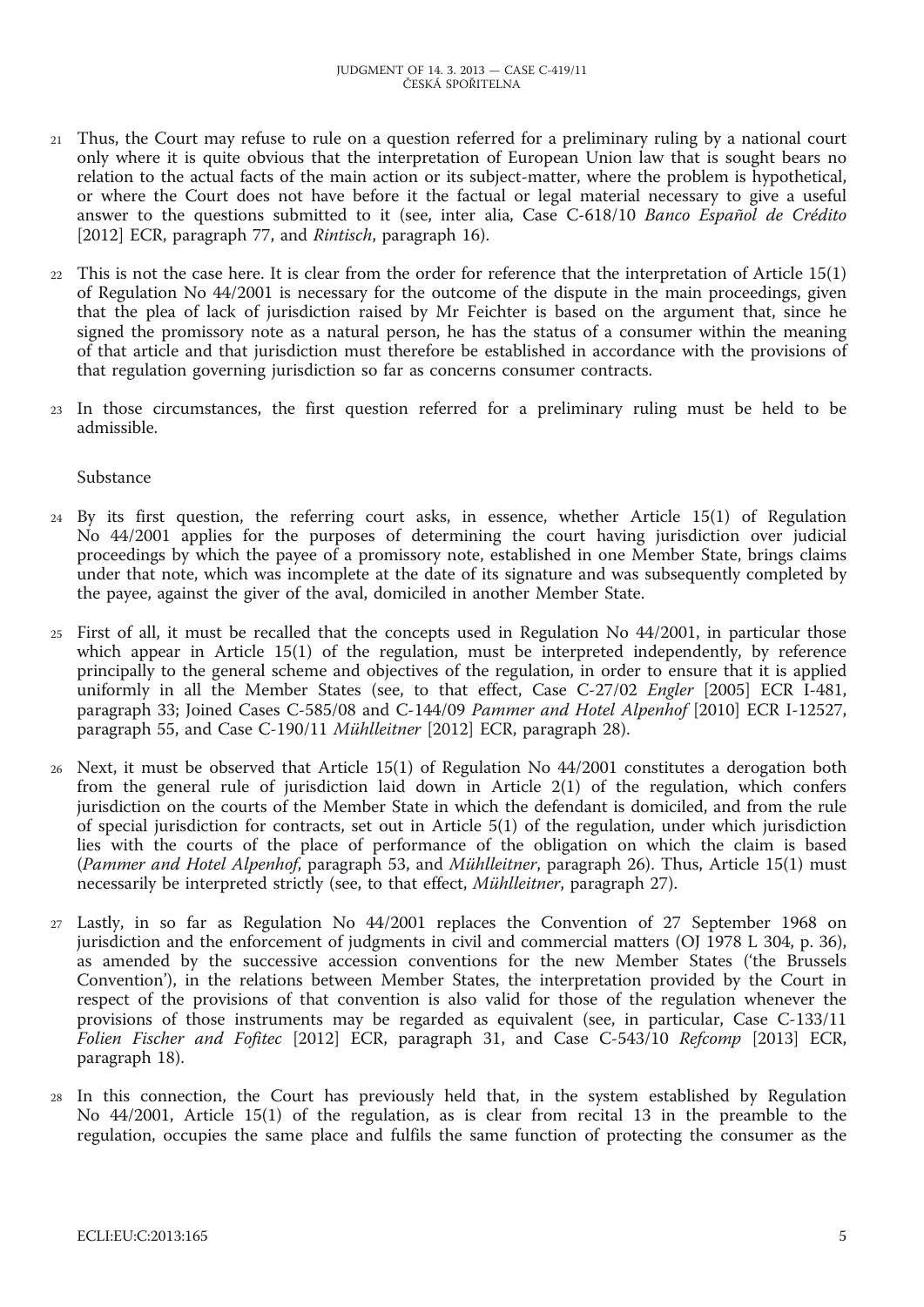- 21 Thus, the Court may refuse to rule on a question referred for a preliminary ruling by a national court only where it is quite obvious that the interpretation of European Union law that is sought bears no relation to the actual facts of the main action or its subject-matter, where the problem is hypothetical, or where the Court does not have before it the factual or legal material necessary to give a useful answer to the questions submitted to it (see, inter alia, Case C-618/10 *Banco Español de Crédito* [2012] ECR, paragraph 77, and *Rintisch*, paragraph 16).
- 22 This is not the case here. It is clear from the order for reference that the interpretation of Article 15(1) of Regulation No 44/2001 is necessary for the outcome of the dispute in the main proceedings, given that the plea of lack of jurisdiction raised by Mr Feichter is based on the argument that, since he signed the promissory note as a natural person, he has the status of a consumer within the meaning of that article and that jurisdiction must therefore be established in accordance with the provisions of that regulation governing jurisdiction so far as concerns consumer contracts.
- 23 In those circumstances, the first question referred for a preliminary ruling must be held to be admissible.

## Substance

- 24 By its first question, the referring court asks, in essence, whether Article 15(1) of Regulation No 44/2001 applies for the purposes of determining the court having jurisdiction over judicial proceedings by which the payee of a promissory note, established in one Member State, brings claims under that note, which was incomplete at the date of its signature and was subsequently completed by the payee, against the giver of the aval, domiciled in another Member State.
- 25 First of all, it must be recalled that the concepts used in Regulation No 44/2001, in particular those which appear in Article 15(1) of the regulation, must be interpreted independently, by reference principally to the general scheme and objectives of the regulation, in order to ensure that it is applied uniformly in all the Member States (see, to that effect, Case C-27/02 *Engler* [2005] ECR I-481, paragraph 33; Joined Cases C-585/08 and C-144/09 *Pammer and Hotel Alpenhof* [2010] ECR I-12527, paragraph 55, and Case C-190/11 *Mühlleitner* [2012] ECR, paragraph 28).
- 26 Next, it must be observed that Article 15(1) of Regulation No 44/2001 constitutes a derogation both from the general rule of jurisdiction laid down in Article 2(1) of the regulation, which confers jurisdiction on the courts of the Member State in which the defendant is domiciled, and from the rule of special jurisdiction for contracts, set out in Article 5(1) of the regulation, under which jurisdiction lies with the courts of the place of performance of the obligation on which the claim is based (*Pammer and Hotel Alpenhof*, paragraph 53, and *Mühlleitner*, paragraph 26). Thus, Article 15(1) must necessarily be interpreted strictly (see, to that effect, *Mühlleitner*, paragraph 27).
- 27 Lastly, in so far as Regulation No 44/2001 replaces the Convention of 27 September 1968 on jurisdiction and the enforcement of judgments in civil and commercial matters (OJ 1978 L 304, p. 36), as amended by the successive accession conventions for the new Member States ('the Brussels Convention'), in the relations between Member States, the interpretation provided by the Court in respect of the provisions of that convention is also valid for those of the regulation whenever the provisions of those instruments may be regarded as equivalent (see, in particular, Case C-133/11 *Folien Fischer and Fofitec* [2012] ECR, paragraph 31, and Case C-543/10 *Refcomp* [2013] ECR, paragraph 18).
- 28 In this connection, the Court has previously held that, in the system established by Regulation No 44/2001, Article 15(1) of the regulation, as is clear from recital 13 in the preamble to the regulation, occupies the same place and fulfils the same function of protecting the consumer as the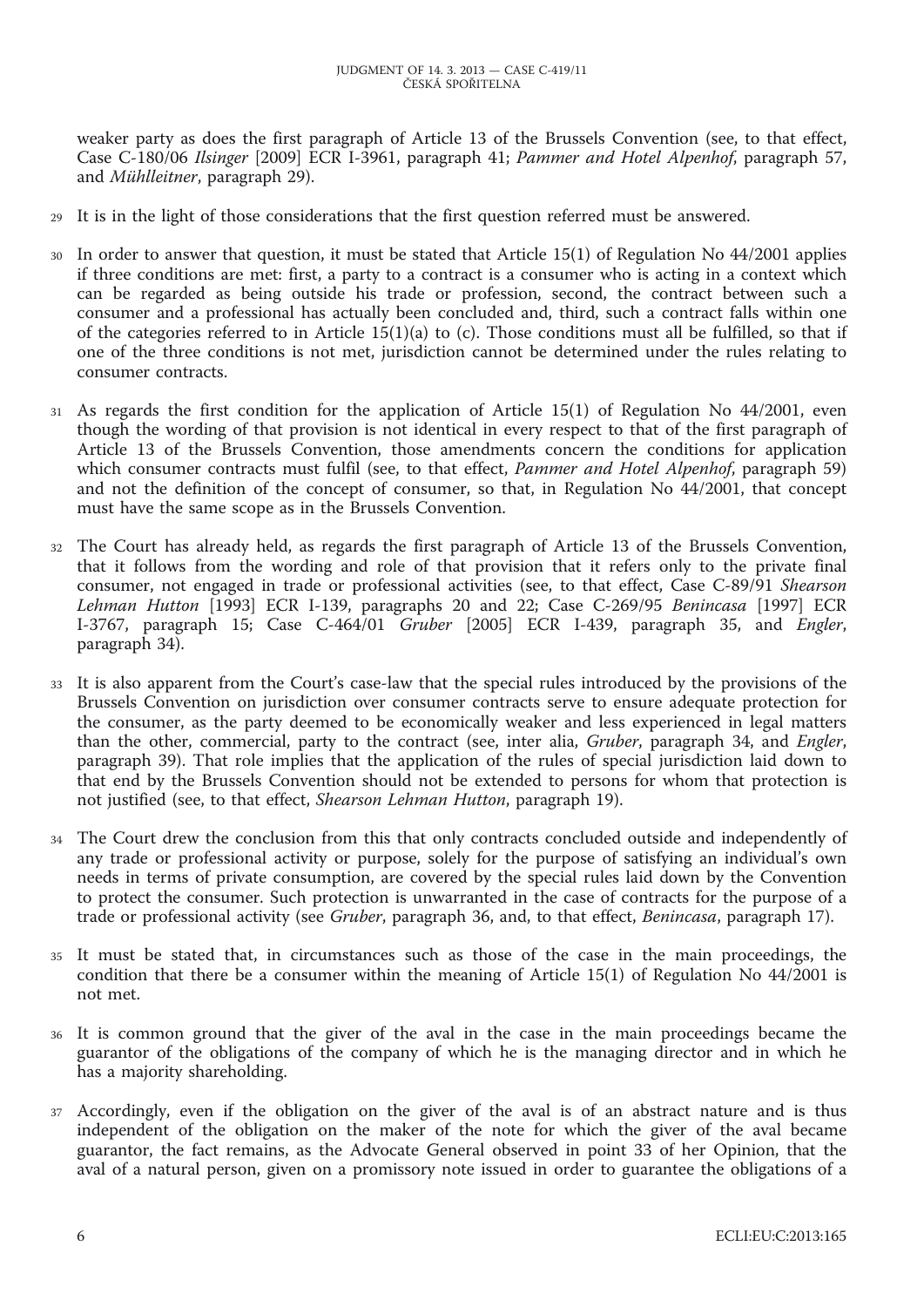weaker party as does the first paragraph of Article 13 of the Brussels Convention (see, to that effect, Case C-180/06 *Ilsinger* [2009] ECR I-3961, paragraph 41; *Pammer and Hotel Alpenhof*, paragraph 57, and *Mühlleitner*, paragraph 29).

- 29 It is in the light of those considerations that the first question referred must be answered.
- 30 In order to answer that question, it must be stated that Article 15(1) of Regulation No 44/2001 applies if three conditions are met: first, a party to a contract is a consumer who is acting in a context which can be regarded as being outside his trade or profession, second, the contract between such a consumer and a professional has actually been concluded and, third, such a contract falls within one of the categories referred to in Article  $15(1)(a)$  to (c). Those conditions must all be fulfilled, so that if one of the three conditions is not met, jurisdiction cannot be determined under the rules relating to consumer contracts.
- 31 As regards the first condition for the application of Article 15(1) of Regulation No 44/2001, even though the wording of that provision is not identical in every respect to that of the first paragraph of Article 13 of the Brussels Convention, those amendments concern the conditions for application which consumer contracts must fulfil (see, to that effect, *Pammer and Hotel Alpenhof*, paragraph 59) and not the definition of the concept of consumer, so that, in Regulation No 44/2001, that concept must have the same scope as in the Brussels Convention.
- 32 The Court has already held, as regards the first paragraph of Article 13 of the Brussels Convention, that it follows from the wording and role of that provision that it refers only to the private final consumer, not engaged in trade or professional activities (see, to that effect, Case C-89/91 *Shearson Lehman Hutton* [1993] ECR I-139, paragraphs 20 and 22; Case C-269/95 *Benincasa* [1997] ECR I-3767, paragraph 15; Case C-464/01 *Gruber* [2005] ECR I-439, paragraph 35, and *Engler*, paragraph 34).
- 33 It is also apparent from the Court's case-law that the special rules introduced by the provisions of the Brussels Convention on jurisdiction over consumer contracts serve to ensure adequate protection for the consumer, as the party deemed to be economically weaker and less experienced in legal matters than the other, commercial, party to the contract (see, inter alia, *Gruber*, paragraph 34, and *Engler*, paragraph 39). That role implies that the application of the rules of special jurisdiction laid down to that end by the Brussels Convention should not be extended to persons for whom that protection is not justified (see, to that effect, *Shearson Lehman Hutton*, paragraph 19).
- 34 The Court drew the conclusion from this that only contracts concluded outside and independently of any trade or professional activity or purpose, solely for the purpose of satisfying an individual's own needs in terms of private consumption, are covered by the special rules laid down by the Convention to protect the consumer. Such protection is unwarranted in the case of contracts for the purpose of a trade or professional activity (see *Gruber*, paragraph 36, and, to that effect, *Benincasa*, paragraph 17).
- 35 It must be stated that, in circumstances such as those of the case in the main proceedings, the condition that there be a consumer within the meaning of Article 15(1) of Regulation No 44/2001 is not met.
- 36 It is common ground that the giver of the aval in the case in the main proceedings became the guarantor of the obligations of the company of which he is the managing director and in which he has a majority shareholding.
- 37 Accordingly, even if the obligation on the giver of the aval is of an abstract nature and is thus independent of the obligation on the maker of the note for which the giver of the aval became guarantor, the fact remains, as the Advocate General observed in point 33 of her Opinion, that the aval of a natural person, given on a promissory note issued in order to guarantee the obligations of a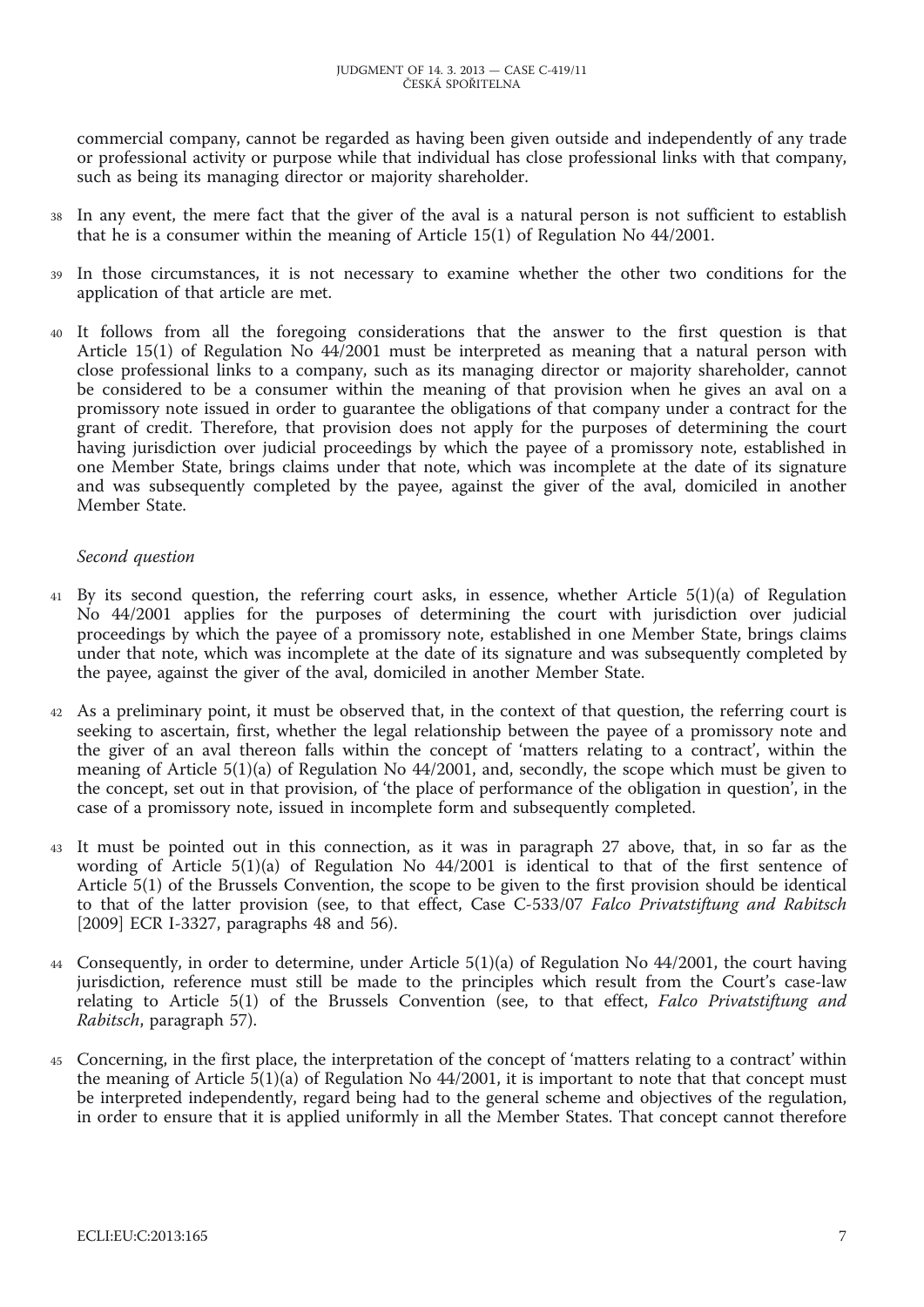commercial company, cannot be regarded as having been given outside and independently of any trade or professional activity or purpose while that individual has close professional links with that company, such as being its managing director or majority shareholder.

- 38 In any event, the mere fact that the giver of the aval is a natural person is not sufficient to establish that he is a consumer within the meaning of Article 15(1) of Regulation No 44/2001.
- In those circumstances, it is not necessary to examine whether the other two conditions for the application of that article are met.
- 40 It follows from all the foregoing considerations that the answer to the first question is that Article 15(1) of Regulation No 44/2001 must be interpreted as meaning that a natural person with close professional links to a company, such as its managing director or majority shareholder, cannot be considered to be a consumer within the meaning of that provision when he gives an aval on a promissory note issued in order to guarantee the obligations of that company under a contract for the grant of credit. Therefore, that provision does not apply for the purposes of determining the court having jurisdiction over judicial proceedings by which the payee of a promissory note, established in one Member State, brings claims under that note, which was incomplete at the date of its signature and was subsequently completed by the payee, against the giver of the aval, domiciled in another Member State.

## *Second question*

- 41 By its second question, the referring court asks, in essence, whether Article 5(1)(a) of Regulation No 44/2001 applies for the purposes of determining the court with jurisdiction over judicial proceedings by which the payee of a promissory note, established in one Member State, brings claims under that note, which was incomplete at the date of its signature and was subsequently completed by the payee, against the giver of the aval, domiciled in another Member State.
- 42 As a preliminary point, it must be observed that, in the context of that question, the referring court is seeking to ascertain, first, whether the legal relationship between the payee of a promissory note and the giver of an aval thereon falls within the concept of 'matters relating to a contract', within the meaning of Article 5(1)(a) of Regulation No 44/2001, and, secondly, the scope which must be given to the concept, set out in that provision, of 'the place of performance of the obligation in question', in the case of a promissory note, issued in incomplete form and subsequently completed.
- 43 It must be pointed out in this connection, as it was in paragraph 27 above, that, in so far as the wording of Article 5(1)(a) of Regulation No 44/2001 is identical to that of the first sentence of Article 5(1) of the Brussels Convention, the scope to be given to the first provision should be identical to that of the latter provision (see, to that effect, Case C-533/07 *Falco Privatstiftung and Rabitsch* [2009] ECR I-3327, paragraphs 48 and 56).
- 44 Consequently, in order to determine, under Article 5(1)(a) of Regulation No 44/2001, the court having jurisdiction, reference must still be made to the principles which result from the Court's case-law relating to Article 5(1) of the Brussels Convention (see, to that effect, *Falco Privatstiftung and Rabitsch*, paragraph 57).
- 45 Concerning, in the first place, the interpretation of the concept of 'matters relating to a contract' within the meaning of Article  $\frac{5(1)}{a}$  of Regulation No 44/2001, it is important to note that that concept must be interpreted independently, regard being had to the general scheme and objectives of the regulation, in order to ensure that it is applied uniformly in all the Member States. That concept cannot therefore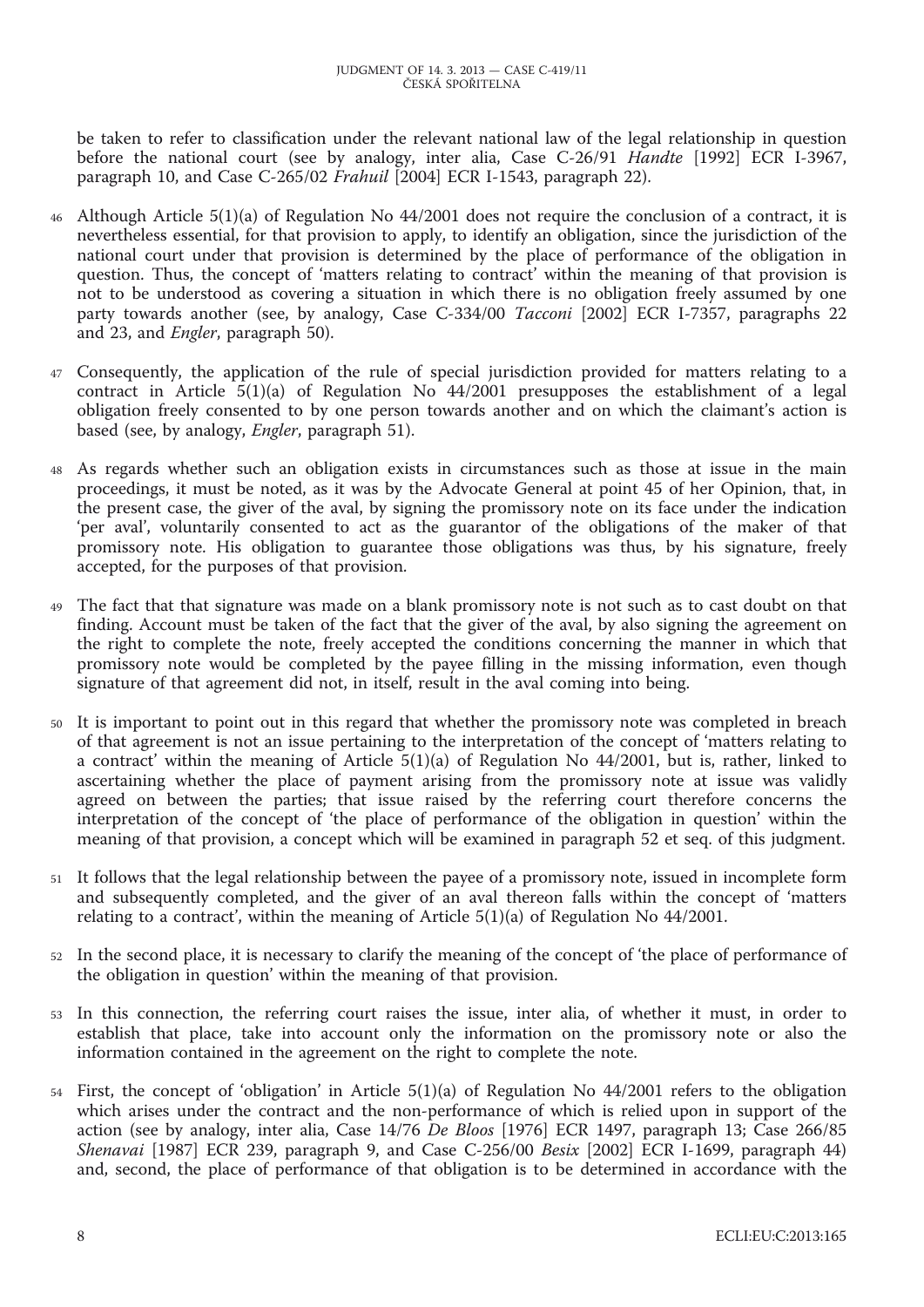be taken to refer to classification under the relevant national law of the legal relationship in question before the national court (see by analogy, inter alia, Case C-26/91 *Handte* [1992] ECR I-3967, paragraph 10, and Case C-265/02 *Frahuil* [2004] ECR I-1543, paragraph 22).

- 46 Although Article 5(1)(a) of Regulation No 44/2001 does not require the conclusion of a contract, it is nevertheless essential, for that provision to apply, to identify an obligation, since the jurisdiction of the national court under that provision is determined by the place of performance of the obligation in question. Thus, the concept of 'matters relating to contract' within the meaning of that provision is not to be understood as covering a situation in which there is no obligation freely assumed by one party towards another (see, by analogy, Case C-334/00 *Tacconi* [2002] ECR I-7357, paragraphs 22 and 23, and *Engler*, paragraph 50).
- 47 Consequently, the application of the rule of special jurisdiction provided for matters relating to a contract in Article  $5(1)(a)$  of Regulation No  $44/2001$  presupposes the establishment of a legal obligation freely consented to by one person towards another and on which the claimant's action is based (see, by analogy, *Engler*, paragraph 51).
- 48 As regards whether such an obligation exists in circumstances such as those at issue in the main proceedings, it must be noted, as it was by the Advocate General at point 45 of her Opinion, that, in the present case, the giver of the aval, by signing the promissory note on its face under the indication 'per aval', voluntarily consented to act as the guarantor of the obligations of the maker of that promissory note. His obligation to guarantee those obligations was thus, by his signature, freely accepted, for the purposes of that provision.
- 49 The fact that that signature was made on a blank promissory note is not such as to cast doubt on that finding. Account must be taken of the fact that the giver of the aval, by also signing the agreement on the right to complete the note, freely accepted the conditions concerning the manner in which that promissory note would be completed by the payee filling in the missing information, even though signature of that agreement did not, in itself, result in the aval coming into being.
- 50 It is important to point out in this regard that whether the promissory note was completed in breach of that agreement is not an issue pertaining to the interpretation of the concept of 'matters relating to a contract' within the meaning of Article 5(1)(a) of Regulation No 44/2001, but is, rather, linked to ascertaining whether the place of payment arising from the promissory note at issue was validly agreed on between the parties; that issue raised by the referring court therefore concerns the interpretation of the concept of 'the place of performance of the obligation in question' within the meaning of that provision, a concept which will be examined in paragraph 52 et seq. of this judgment.
- 51 It follows that the legal relationship between the payee of a promissory note, issued in incomplete form and subsequently completed, and the giver of an aval thereon falls within the concept of 'matters relating to a contract', within the meaning of Article  $5(1)(a)$  of Regulation No 44/2001.
- 52 In the second place, it is necessary to clarify the meaning of the concept of 'the place of performance of the obligation in question' within the meaning of that provision.
- 53 In this connection, the referring court raises the issue, inter alia, of whether it must, in order to establish that place, take into account only the information on the promissory note or also the information contained in the agreement on the right to complete the note.
- 54 First, the concept of 'obligation' in Article 5(1)(a) of Regulation No 44/2001 refers to the obligation which arises under the contract and the non-performance of which is relied upon in support of the action (see by analogy, inter alia, Case 14/76 *De Bloos* [1976] ECR 1497, paragraph 13; Case 266/85 *Shenavai* [1987] ECR 239, paragraph 9, and Case C-256/00 *Besix* [2002] ECR I-1699, paragraph 44) and, second, the place of performance of that obligation is to be determined in accordance with the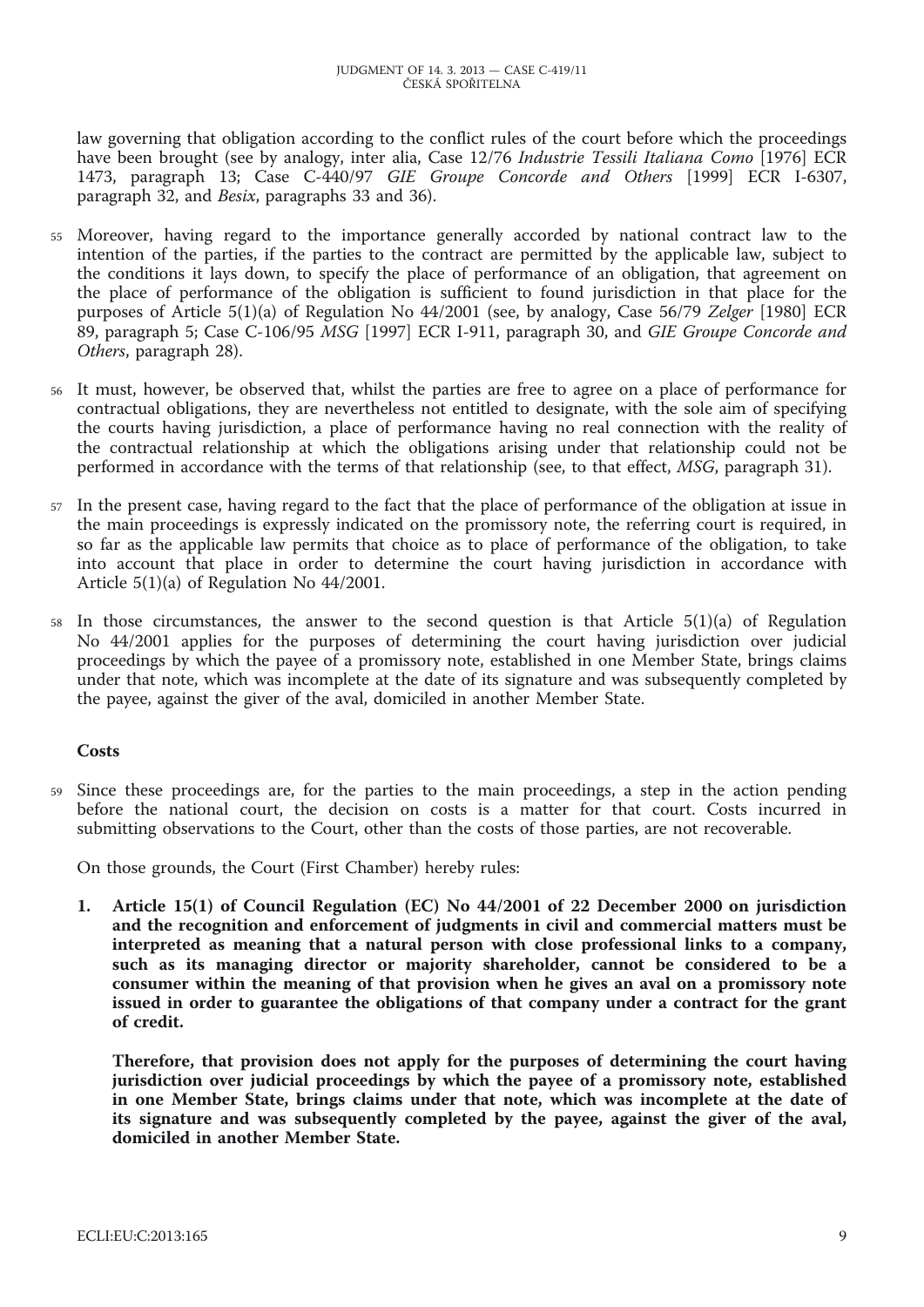law governing that obligation according to the conflict rules of the court before which the proceedings have been brought (see by analogy, inter alia, Case 12/76 *Industrie Tessili Italiana Como* [1976] ECR 1473, paragraph 13; Case C-440/97 *GIE Groupe Concorde and Others* [1999] ECR I-6307, paragraph 32, and *Besix*, paragraphs 33 and 36).

- 55 Moreover, having regard to the importance generally accorded by national contract law to the intention of the parties, if the parties to the contract are permitted by the applicable law, subject to the conditions it lays down, to specify the place of performance of an obligation, that agreement on the place of performance of the obligation is sufficient to found jurisdiction in that place for the purposes of Article 5(1)(a) of Regulation No 44/2001 (see, by analogy, Case 56/79 *Zelger* [1980] ECR 89, paragraph 5; Case C-106/95 *MSG* [1997] ECR I-911, paragraph 30, and *GIE Groupe Concorde and Others*, paragraph 28).
- 56 It must, however, be observed that, whilst the parties are free to agree on a place of performance for contractual obligations, they are nevertheless not entitled to designate, with the sole aim of specifying the courts having jurisdiction, a place of performance having no real connection with the reality of the contractual relationship at which the obligations arising under that relationship could not be performed in accordance with the terms of that relationship (see, to that effect, *MSG*, paragraph 31).
- 57 In the present case, having regard to the fact that the place of performance of the obligation at issue in the main proceedings is expressly indicated on the promissory note, the referring court is required, in so far as the applicable law permits that choice as to place of performance of the obligation, to take into account that place in order to determine the court having jurisdiction in accordance with Article 5(1)(a) of Regulation No 44/2001.
- $58$  In those circumstances, the answer to the second question is that Article  $5(1)(a)$  of Regulation No 44/2001 applies for the purposes of determining the court having jurisdiction over judicial proceedings by which the payee of a promissory note, established in one Member State, brings claims under that note, which was incomplete at the date of its signature and was subsequently completed by the payee, against the giver of the aval, domiciled in another Member State.

## **Costs**

59 Since these proceedings are, for the parties to the main proceedings, a step in the action pending before the national court, the decision on costs is a matter for that court. Costs incurred in submitting observations to the Court, other than the costs of those parties, are not recoverable.

On those grounds, the Court (First Chamber) hereby rules:

**1. Article 15(1) of Council Regulation (EC) No 44/2001 of 22 December 2000 on jurisdiction and the recognition and enforcement of judgments in civil and commercial matters must be interpreted as meaning that a natural person with close professional links to a company, such as its managing director or majority shareholder, cannot be considered to be a consumer within the meaning of that provision when he gives an aval on a promissory note issued in order to guarantee the obligations of that company under a contract for the grant of credit.**

**Therefore, that provision does not apply for the purposes of determining the court having jurisdiction over judicial proceedings by which the payee of a promissory note, established in one Member State, brings claims under that note, which was incomplete at the date of its signature and was subsequently completed by the payee, against the giver of the aval, domiciled in another Member State.**